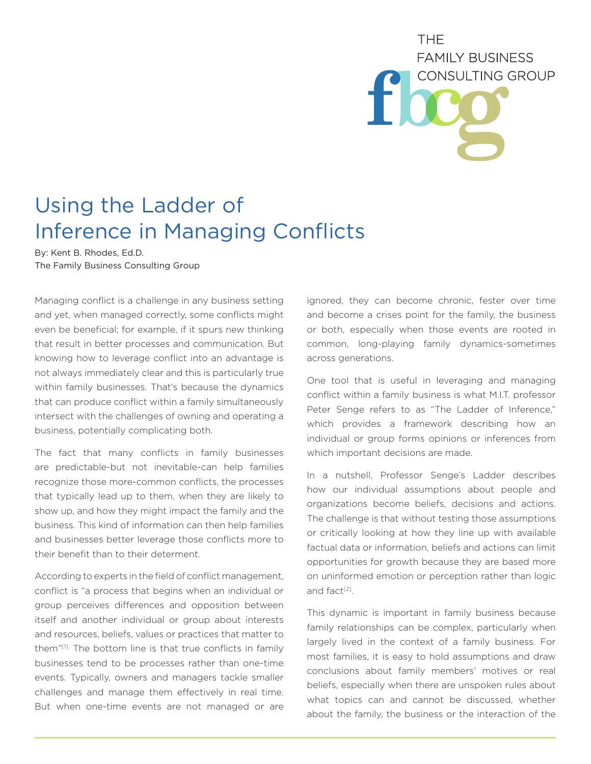## **THF FAMILY BUSINESS** CONSULTING GROUP

## Using the Ladder of Inference in Managing Conflicts

By: Kent B. Rhodes, Ed.D. The Family Business Consulting Group

Managing conflict is a challenge in any business setting and yet, when managed correctly, some conflicts might even be beneficial; for example, if it spurs new thinking that result in better processes and communication. But knowing how to leverage conflict into an advantage is not always immediately clear and this is particularly true within family businesses. That's because the dynamics that can produce conflict within a family simultaneously intersect with the challenges of owning and operating a business, potentially complicating both.

The fact that many conflicts in family businesses are predictable-but not inevitable-can help families recognize those more-common conflicts, the processes that typically lead up to them, when they are likely to show up, and how they might impact the family and the business. This kind of information can then help families and businesses better leverage those conflicts more to their benefit than to their determent.

According to experts in the field of conflict management, conflict is "a process that begins when an individual or group perceives differences and opposition between itself and another individual or group about interests and resources, beliefs, values or practices that matter to them"[1]. The bottom line is that true conflicts in family businesses tend to be processes rather than one-time events. Typically, owners and managers tackle smaller challenges and manage them effectively in real time. But when one-time events are not managed or are

ignored, they can become chronic, fester over time and become a crises point for the family, the business or both, especially when those events are rooted in common, long-playing family dynamics-sometimes across generations.

One tool that is useful in leveraging and managing conflict within a family business is what M.I.T. professor Peter Senge refers to as "The Ladder of Inference," which provides a framework describing how an individual or group forms opinions or inferences from which important decisions are made.

In a nutshell, Professor Senge's Ladder describes how our individual assumptions about people and organizations become beliefs, decisions and actions. The challenge is that without testing those assumptions or critically looking at how they line up with available factual data or information, beliefs and actions can limit opportunities for growth because they are based more on uninformed emotion or perception rather than logic and fact<sup>[2]</sup>.

This dynamic is important in family business because family relationships can be complex, particularly when largely lived in the context of a family business. For most families, it is easy to hold assumptions and draw conclusions about family members' motives or real beliefs, especially when there are unspoken rules about what topics can and cannot be discussed, whether about the family, the business or the interaction of the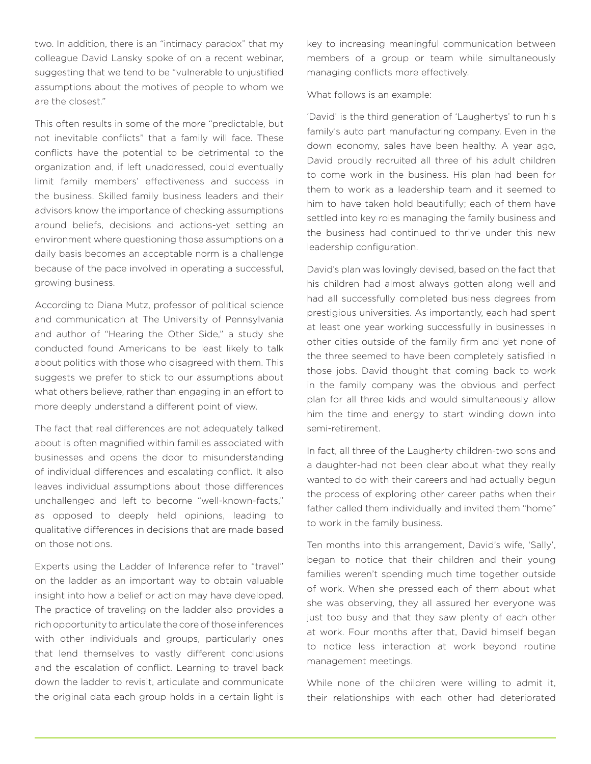two. In addition, there is an "intimacy paradox" that my colleague David Lansky spoke of on a recent webinar, suggesting that we tend to be "vulnerable to unjustified assumptions about the motives of people to whom we are the closest."

This often results in some of the more "predictable, but not inevitable conflicts" that a family will face. These conflicts have the potential to be detrimental to the organization and, if left unaddressed, could eventually limit family members' effectiveness and success in the business. Skilled family business leaders and their advisors know the importance of checking assumptions around beliefs, decisions and actions-yet setting an environment where questioning those assumptions on a daily basis becomes an acceptable norm is a challenge because of the pace involved in operating a successful, growing business.

According to Diana Mutz, professor of political science and communication at The University of Pennsylvania and author of "Hearing the Other Side," a study she conducted found Americans to be least likely to talk about politics with those who disagreed with them. This suggests we prefer to stick to our assumptions about what others believe, rather than engaging in an effort to more deeply understand a different point of view.

The fact that real differences are not adequately talked about is often magnified within families associated with businesses and opens the door to misunderstanding of individual differences and escalating conflict. It also leaves individual assumptions about those differences unchallenged and left to become "well-known-facts," as opposed to deeply held opinions, leading to qualitative differences in decisions that are made based on those notions.

Experts using the Ladder of Inference refer to "travel" on the ladder as an important way to obtain valuable insight into how a belief or action may have developed. The practice of traveling on the ladder also provides a rich opportunity to articulate the core of those inferences with other individuals and groups, particularly ones that lend themselves to vastly different conclusions and the escalation of conflict. Learning to travel back down the ladder to revisit, articulate and communicate the original data each group holds in a certain light is

key to increasing meaningful communication between members of a group or team while simultaneously managing conflicts more effectively.

What follows is an example:

'David' is the third generation of 'Laughertys' to run his family's auto part manufacturing company. Even in the down economy, sales have been healthy. A year ago, David proudly recruited all three of his adult children to come work in the business. His plan had been for them to work as a leadership team and it seemed to him to have taken hold beautifully; each of them have settled into key roles managing the family business and the business had continued to thrive under this new leadership configuration.

David's plan was lovingly devised, based on the fact that his children had almost always gotten along well and had all successfully completed business degrees from prestigious universities. As importantly, each had spent at least one year working successfully in businesses in other cities outside of the family firm and yet none of the three seemed to have been completely satisfied in those jobs. David thought that coming back to work in the family company was the obvious and perfect plan for all three kids and would simultaneously allow him the time and energy to start winding down into semi-retirement.

In fact, all three of the Laugherty children-two sons and a daughter-had not been clear about what they really wanted to do with their careers and had actually begun the process of exploring other career paths when their father called them individually and invited them "home" to work in the family business.

Ten months into this arrangement, David's wife, 'Sally', began to notice that their children and their young families weren't spending much time together outside of work. When she pressed each of them about what she was observing, they all assured her everyone was just too busy and that they saw plenty of each other at work. Four months after that, David himself began to notice less interaction at work beyond routine management meetings.

While none of the children were willing to admit it, their relationships with each other had deteriorated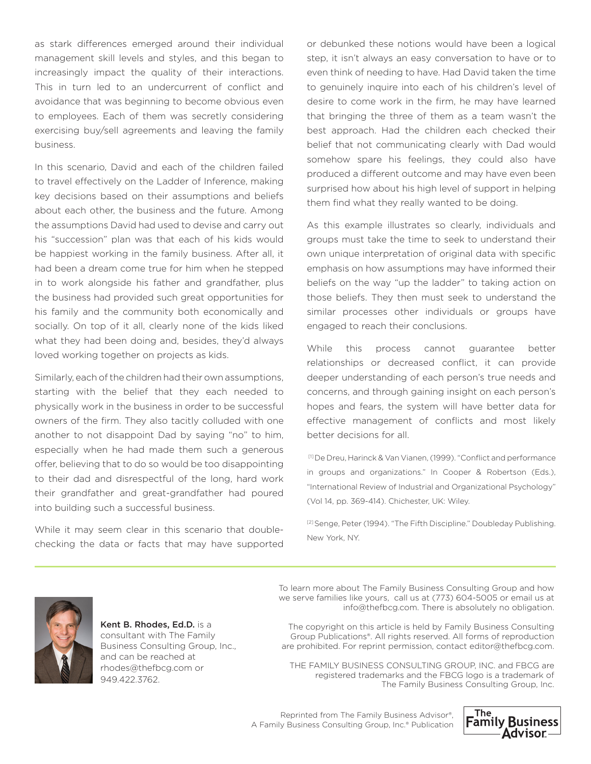as stark differences emerged around their individual management skill levels and styles, and this began to increasingly impact the quality of their interactions. This in turn led to an undercurrent of conflict and avoidance that was beginning to become obvious even to employees. Each of them was secretly considering exercising buy/sell agreements and leaving the family business.

In this scenario, David and each of the children failed to travel effectively on the Ladder of Inference, making key decisions based on their assumptions and beliefs about each other, the business and the future. Among the assumptions David had used to devise and carry out his "succession" plan was that each of his kids would be happiest working in the family business. After all, it had been a dream come true for him when he stepped in to work alongside his father and grandfather, plus the business had provided such great opportunities for his family and the community both economically and socially. On top of it all, clearly none of the kids liked what they had been doing and, besides, they'd always loved working together on projects as kids.

Similarly, each of the children had their own assumptions, starting with the belief that they each needed to physically work in the business in order to be successful owners of the firm. They also tacitly colluded with one another to not disappoint Dad by saying "no" to him, especially when he had made them such a generous offer, believing that to do so would be too disappointing to their dad and disrespectful of the long, hard work their grandfather and great-grandfather had poured into building such a successful business.

While it may seem clear in this scenario that doublechecking the data or facts that may have supported or debunked these notions would have been a logical step, it isn't always an easy conversation to have or to even think of needing to have. Had David taken the time to genuinely inquire into each of his children's level of desire to come work in the firm, he may have learned that bringing the three of them as a team wasn't the best approach. Had the children each checked their belief that not communicating clearly with Dad would somehow spare his feelings, they could also have produced a different outcome and may have even been surprised how about his high level of support in helping them find what they really wanted to be doing.

As this example illustrates so clearly, individuals and groups must take the time to seek to understand their own unique interpretation of original data with specific emphasis on how assumptions may have informed their beliefs on the way "up the ladder" to taking action on those beliefs. They then must seek to understand the similar processes other individuals or groups have engaged to reach their conclusions.

While this process cannot guarantee better relationships or decreased conflict, it can provide deeper understanding of each person's true needs and concerns, and through gaining insight on each person's hopes and fears, the system will have better data for effective management of conflicts and most likely better decisions for all.

[1] De Dreu, Harinck & Van Vianen, (1999). "Conflict and performance in groups and organizations." In Cooper & Robertson (Eds.), "International Review of Industrial and Organizational Psychology" (Vol 14, pp. 369-414). Chichester, UK: Wiley.

[2] Senge, Peter (1994). "The Fifth Discipline." Doubleday Publishing. New York, NY.



Kent B. Rhodes, Ed.D. is a consultant with The Family Business Consulting Group, Inc., and can be reached at rhodes@thefbcg.com or 949.422.3762.

To learn more about The Family Business Consulting Group and how we serve families like yours, call us at (773) 604-5005 or email us at info@thefbcg.com. There is absolutely no obligation.

The copyright on this article is held by Family Business Consulting Group Publications®. All rights reserved. All forms of reproduction are prohibited. For reprint permission, contact editor@thefbcg.com.

THE FAMILY BUSINESS CONSULTING GROUP, INC. and FBCG are registered trademarks and the FBCG logo is a trademark of The Family Business Consulting Group, Inc.

Reprinted from The Family Business Advisor®, A Family Business Consulting Group, Inc.® Publication